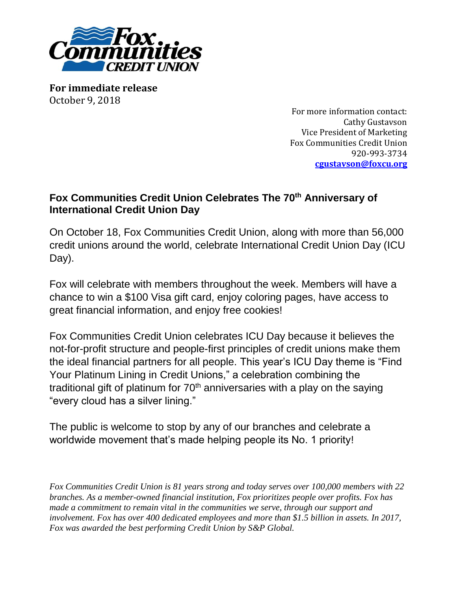

**For immediate release** October 9, 2018

> For more information contact: Cathy Gustavson Vice President of Marketing Fox Communities Credit Union 920-993-3734 **[cgustavson@foxcu.org](mailto:cgustavson@foxcu.org)**

## **Fox Communities Credit Union Celebrates The 70th Anniversary of International Credit Union Day**

On October 18, Fox Communities Credit Union, along with more than 56,000 credit unions around the world, celebrate International Credit Union Day (ICU Day).

Fox will celebrate with members throughout the week. Members will have a chance to win a \$100 Visa gift card, enjoy coloring pages, have access to great financial information, and enjoy free cookies!

Fox Communities Credit Union celebrates ICU Day because it believes the not-for-profit structure and people-first principles of credit unions make them the ideal financial partners for all people. This year's ICU Day theme is "Find Your Platinum Lining in Credit Unions," a celebration combining the traditional gift of platinum for  $70<sup>th</sup>$  anniversaries with a play on the saying "every cloud has a silver lining."

The public is welcome to stop by any of our branches and celebrate a worldwide movement that's made helping people its No. 1 priority!

*Fox Communities Credit Union is 81 years strong and today serves over 100,000 members with 22 branches. As a member-owned financial institution, Fox prioritizes people over profits. Fox has made a commitment to remain vital in the communities we serve, through our support and involvement. Fox has over 400 dedicated employees and more than \$1.5 billion in assets. In 2017, Fox was awarded the best performing Credit Union by S&P Global.*